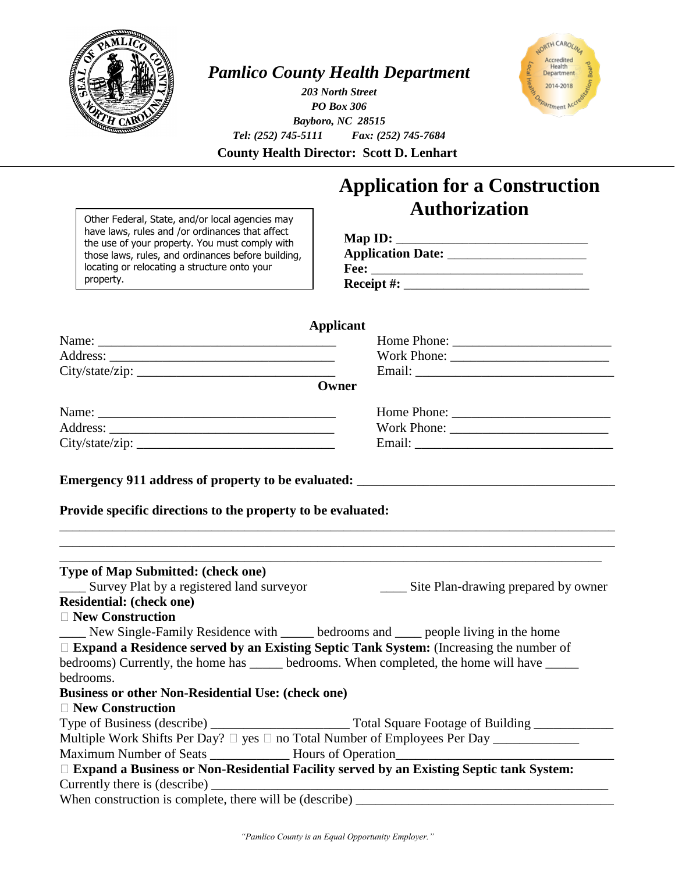

## *Pamlico County Health Department*

*203 North Street PO Box 306 Bayboro, NC 28515 Tel: (252) 745-5111 Fax: (252) 745-7684*



**County Health Director: Scott D. Lenhart**

**Applicant**

## **Application for a Construction Authorization**

Other Federal, State, and/or local agencies may have laws, rules and /or ordinances that affect the use of your property. You must comply with those laws, rules, and ordinances before building, locating or relocating a structure onto your property.

| Map ID:                  |  |
|--------------------------|--|
| <b>Application Date:</b> |  |
| Fee:                     |  |
| Receipt $#$ :            |  |

Name: \_\_\_\_\_\_\_\_\_\_\_\_\_\_\_\_\_\_\_\_\_\_\_\_\_\_\_\_\_\_\_\_\_\_\_\_ Home Phone: \_\_\_\_\_\_\_\_\_\_\_\_\_\_\_\_\_\_\_\_\_\_\_\_ Address: <u>work Phone:</u> work Phone: **work Phone:**  $\mathbb{R}^n$ City/state/zip: \_\_\_\_\_\_\_\_\_\_\_\_\_\_\_\_\_\_\_\_\_\_\_\_\_\_\_\_\_\_ Email: \_\_\_\_\_\_\_\_\_\_\_\_\_\_\_\_\_\_\_\_\_\_\_\_\_\_\_\_\_\_ **Owner Emergency 911 address of property to be evaluated: Provide specific directions to the property to be evaluated:** \_\_\_\_\_\_\_\_\_\_\_\_\_\_\_\_\_\_\_\_\_\_\_\_\_\_\_\_\_\_\_\_\_\_\_\_\_\_\_\_\_\_\_\_\_\_\_\_\_\_\_\_\_\_\_\_\_\_\_\_\_\_\_\_\_\_\_\_\_\_\_\_\_\_\_\_\_\_\_\_\_\_\_\_ \_\_\_\_\_\_\_\_\_\_\_\_\_\_\_\_\_\_\_\_\_\_\_\_\_\_\_\_\_\_\_\_\_\_\_\_\_\_\_\_\_\_\_\_\_\_\_\_\_\_\_\_\_\_\_\_\_\_\_\_\_\_\_\_\_\_\_\_\_\_\_\_\_\_\_\_\_\_\_\_\_\_\_\_ \_\_\_\_\_\_\_\_\_\_\_\_\_\_\_\_\_\_\_\_\_\_\_\_\_\_\_\_\_\_\_\_\_\_\_\_\_\_\_\_\_\_\_\_\_\_\_\_\_\_\_\_\_\_\_\_\_\_\_\_\_\_\_\_\_\_\_\_\_\_\_\_\_\_\_\_\_\_\_\_\_\_ **Type of Map Submitted: (check one)** \_\_\_\_ Survey Plat by a registered land surveyor \_\_\_\_ Site Plan-drawing prepared by owner **Residential: (check one) New Construction** New Single-Family Residence with <u>said</u> bedrooms and superplearing in the home **Expand a Residence served by an Existing Septic Tank System:** (Increasing the number of bedrooms) Currently, the home has \_\_\_\_\_ bedrooms. When completed, the home will have \_\_\_\_\_ bedrooms. **Business or other Non-Residential Use: (check one) New Construction** Type of Business (describe) \_\_\_\_\_\_\_\_\_\_\_\_\_\_\_\_\_\_\_\_\_ Total Square Footage of Building \_\_\_\_\_\_\_\_\_\_\_\_ Multiple Work Shifts Per Day? yes no Total Number of Employees Per Day \_\_\_\_\_\_\_\_\_\_\_\_\_ Maximum Number of Seats Hours of Operation **Expand a Business or Non-Residential Facility served by an Existing Septic tank System:** Currently there is (describe) When construction is complete, there will be (describe) \_\_\_\_\_\_\_\_\_\_\_\_\_\_\_\_\_\_\_\_\_\_\_\_\_\_\_\_\_\_\_\_\_\_\_\_\_\_\_ Name: \_\_\_\_\_\_\_\_\_\_\_\_\_\_\_\_\_\_\_\_\_\_\_\_\_\_\_\_\_\_\_\_\_\_\_\_ Home Phone: \_\_\_\_\_\_\_\_\_\_\_\_\_\_\_\_\_\_\_\_\_\_\_\_ Address: \_\_\_\_\_\_\_\_\_\_\_\_\_\_\_\_\_\_\_\_\_\_\_\_\_\_\_\_\_\_\_\_\_\_ Work Phone: \_\_\_\_\_\_\_\_\_\_\_\_\_\_\_\_\_\_\_\_\_\_\_\_ City/state/zip: \_\_\_\_\_\_\_\_\_\_\_\_\_\_\_\_\_\_\_\_\_\_\_\_\_\_\_\_\_\_ Email: \_\_\_\_\_\_\_\_\_\_\_\_\_\_\_\_\_\_\_\_\_\_\_\_\_\_\_\_\_\_